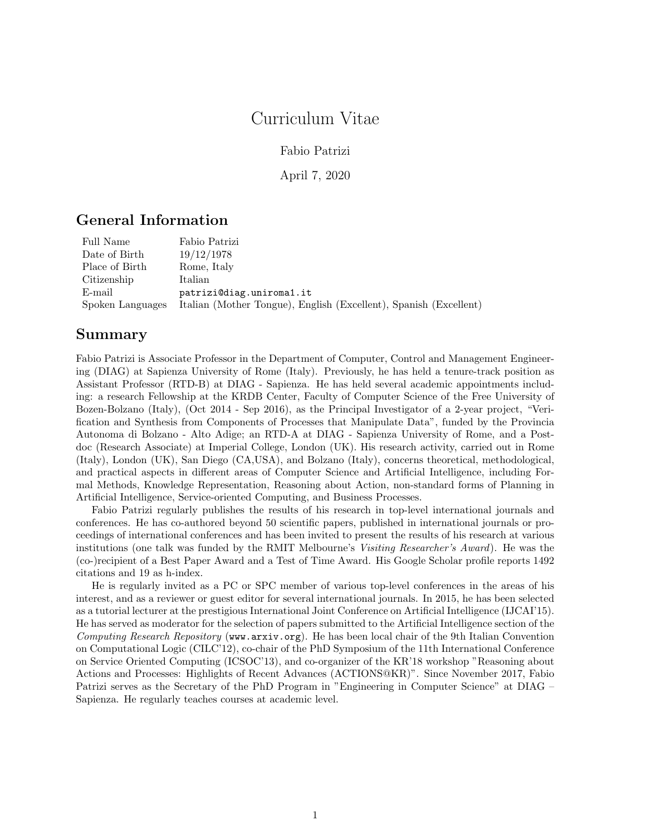## Curriculum Vitae

Fabio Patrizi

April 7, 2020

## General Information

| Full Name        | Fabio Patrizi                                                     |
|------------------|-------------------------------------------------------------------|
| Date of Birth    | 19/12/1978                                                        |
| Place of Birth   | Rome, Italy                                                       |
| Citizenship      | Italian                                                           |
| E-mail           | patrizi@diag.uniroma1.it                                          |
| Spoken Languages | Italian (Mother Tongue), English (Excellent), Spanish (Excellent) |

## Summary

Fabio Patrizi is Associate Professor in the Department of Computer, Control and Management Engineering (DIAG) at Sapienza University of Rome (Italy). Previously, he has held a tenure-track position as Assistant Professor (RTD-B) at DIAG - Sapienza. He has held several academic appointments including: a research Fellowship at the KRDB Center, Faculty of Computer Science of the Free University of Bozen-Bolzano (Italy), (Oct 2014 - Sep 2016), as the Principal Investigator of a 2-year project, "Verification and Synthesis from Components of Processes that Manipulate Data", funded by the Provincia Autonoma di Bolzano - Alto Adige; an RTD-A at DIAG - Sapienza University of Rome, and a Postdoc (Research Associate) at Imperial College, London (UK). His research activity, carried out in Rome (Italy), London (UK), San Diego (CA,USA), and Bolzano (Italy), concerns theoretical, methodological, and practical aspects in different areas of Computer Science and Artificial Intelligence, including Formal Methods, Knowledge Representation, Reasoning about Action, non-standard forms of Planning in Artificial Intelligence, Service-oriented Computing, and Business Processes.

Fabio Patrizi regularly publishes the results of his research in top-level international journals and conferences. He has co-authored beyond 50 scientific papers, published in international journals or proceedings of international conferences and has been invited to present the results of his research at various institutions (one talk was funded by the RMIT Melbourne's Visiting Researcher's Award). He was the (co-)recipient of a Best Paper Award and a Test of Time Award. His Google Scholar profile reports 1492 citations and 19 as h-index.

He is regularly invited as a PC or SPC member of various top-level conferences in the areas of his interest, and as a reviewer or guest editor for several international journals. In 2015, he has been selected as a tutorial lecturer at the prestigious International Joint Conference on Artificial Intelligence (IJCAI'15). He has served as moderator for the selection of papers submitted to the Artificial Intelligence section of the Computing Research Repository (www.arxiv.org). He has been local chair of the 9th Italian Convention on Computational Logic (CILC'12), co-chair of the PhD Symposium of the 11th International Conference on Service Oriented Computing (ICSOC'13), and co-organizer of the KR'18 workshop "Reasoning about Actions and Processes: Highlights of Recent Advances (ACTIONS@KR)". Since November 2017, Fabio Patrizi serves as the Secretary of the PhD Program in "Engineering in Computer Science" at DIAG – Sapienza. He regularly teaches courses at academic level.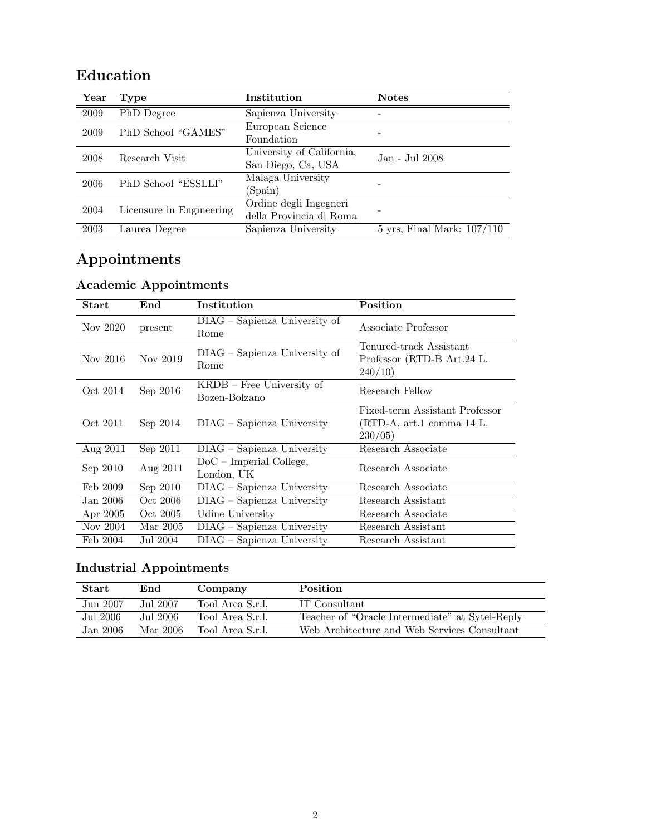| Year | <b>Type</b>              | Institution                                       | <b>Notes</b>                            |
|------|--------------------------|---------------------------------------------------|-----------------------------------------|
| 2009 | PhD Degree               | Sapienza University                               |                                         |
| 2009 | PhD School "GAMES"       | European Science<br>Foundation                    |                                         |
| 2008 | Research Visit           | University of California,<br>San Diego, Ca, USA   | Jan - Jul 2008                          |
| 2006 | PhD School "ESSLLI"      | Malaga University<br>(Spain)                      |                                         |
| 2004 | Licensure in Engineering | Ordine degli Ingegneri<br>della Provincia di Roma |                                         |
| 2003 | Laurea Degree            | Sapienza University                               | $5 \text{ yrs}$ , Final Mark: $107/110$ |

## Education

# Appointments

# Academic Appointments

| Start    | $\boldsymbol{\mathrm{End}}$ | Institution                                  | Position                                                                  |
|----------|-----------------------------|----------------------------------------------|---------------------------------------------------------------------------|
| Nov 2020 | present                     | DIAG - Sapienza University of<br>Rome        | Associate Professor                                                       |
| Nov 2016 | Nov 2019                    | DIAG – Sapienza University of<br>Rome        | Tenured-track Assistant<br>Professor (RTD-B Art.24 L.<br>240/10           |
| Oct 2014 | Sep 2016                    | $KRDB$ – Free University of<br>Bozen-Bolzano | Research Fellow                                                           |
| Oct 2011 | Sep 2014                    | $DIAG - Sapienza University$                 | Fixed-term Assistant Professor<br>(RTD-A, art.1 comma 14 L.<br>$230/05$ ) |
| Aug 2011 | Sep 2011                    | $DIAG - Sapienza$ University                 | Research Associate                                                        |
| Sep 2010 | Aug 2011                    | $DoC$ – Imperial College,<br>London, UK      | Research Associate                                                        |
| Feb 2009 | Sep 2010                    | $DIAG - Sapienza University$                 | Research Associate                                                        |
| Jan 2006 | Oct 2006                    | $DIAG - Sapienza University$                 | Research Assistant                                                        |
| Apr 2005 | Oct 2005                    | Udine University                             | Research Associate                                                        |
| Nov 2004 | Mar 2005                    | DIAG - Sapienza University                   | Research Assistant                                                        |
| Feb 2004 | Jul 2004                    | $DIAG - Sapienza$ University                 | Research Assistant                                                        |

# Industrial Appointments

| Start     | End       | Company          | Position                                        |
|-----------|-----------|------------------|-------------------------------------------------|
| Jun 2007  | Jul 2007  | Tool Area S.r.l. | IT Consultant                                   |
| Jul 2006  | Jul 2006. | Tool Area S.r.l. | Teacher of "Oracle Intermediate" at Sytel-Reply |
| Jan 2006. | Mar 2006  | Tool Area S.r.l. | Web Architecture and Web Services Consultant    |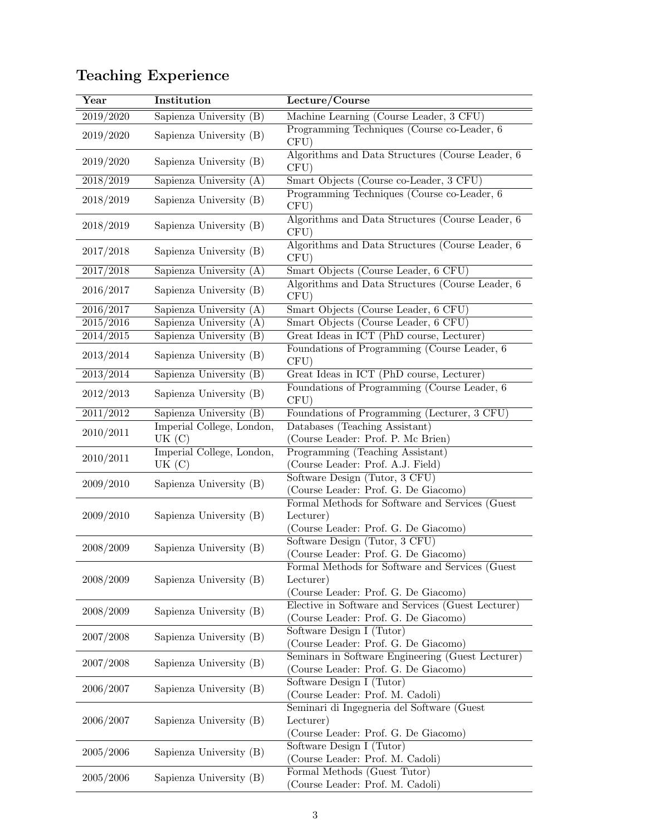| Year                  | Institution                        | $\operatorname{Lecture} / \overline{\operatorname{Course}}$                                           |
|-----------------------|------------------------------------|-------------------------------------------------------------------------------------------------------|
| 2019/2020             | Sapienza University (B)            | Machine Learning (Course Leader, 3 CFU)                                                               |
| 2019/2020             | Sapienza University (B)            | Programming Techniques (Course co-Leader, 6)<br>CFU)                                                  |
| 2019/2020             | Sapienza University (B)            | Algorithms and Data Structures (Course Leader, 6)<br>CFU)                                             |
| 2018/2019             | Sapienza University (A)            | Smart Objects (Course co-Leader, 3 CFU)                                                               |
| 2018/2019             | Sapienza University (B)            | Programming Techniques (Course co-Leader, 6<br>CFU)                                                   |
| 2018/2019             | Sapienza University (B)            | Algorithms and Data Structures (Course Leader, 6)<br>CFU)                                             |
| 2017/2018             | Sapienza University (B)            | Algorithms and Data Structures (Course Leader, 6)<br>CFU)                                             |
| 2017/2018             | Sapienza University (A)            | Smart Objects (Course Leader, 6 CFU)                                                                  |
| 2016/2017             | Sapienza University (B)            | Algorithms and Data Structures (Course Leader, 6<br>CFU)                                              |
| 2016/2017             | Sapienza University (A)            | Smart Objects (Course Leader, 6 CFU)                                                                  |
| 2015/2016             | Sapienza University (A)            | Smart Objects (Course Leader, 6 CFU)                                                                  |
| 2014/2015             | Sapienza University (B)            | Great Ideas in ICT (PhD course, Lecturer)                                                             |
| 2013/2014             | Sapienza University (B)            | Foundations of Programming (Course Leader, 6)<br>CFU)                                                 |
| 2013/2014             | Sapienza University (B)            | Great Ideas in ICT (PhD course, Lecturer)                                                             |
| 2012/2013             | Sapienza University (B)            | Foundations of Programming (Course Leader, 6)<br>CFU)                                                 |
| $2011\overline{2012}$ | Sapienza University (B)            | Foundations of Programming (Lecturer, 3 CFU)                                                          |
| 2010/2011             | Imperial College, London,<br>UK(C) | Databases (Teaching Assistant)<br>(Course Leader: Prof. P. Mc Brien)                                  |
| 2010/2011             | Imperial College, London,<br>UK(C) | Programming (Teaching Assistant)<br>(Course Leader: Prof. A.J. Field)                                 |
| 2009/2010             | Sapienza University (B)            | Software Design (Tutor, 3 CFU)<br>(Course Leader: Prof. G. De Giacomo)                                |
| 2009/2010             | Sapienza University (B)            | Formal Methods for Software and Services (Guest<br>Lecturer)<br>(Course Leader: Prof. G. De Giacomo)  |
| 2008/2009             | Sapienza University (B)            | Software Design (Tutor, 3 CFU)<br>(Course Leader: Prof. G. De Giacomo)                                |
| 2008/2009             | Sapienza University (B)            | Formal Methods for Software and Services (Guest)<br>Lecturer)<br>(Course Leader: Prof. G. De Giacomo) |
| 2008/2009             | Sapienza University (B)            | Elective in Software and Services (Guest Lecturer)<br>(Course Leader: Prof. G. De Giacomo)            |
| 2007/2008             | Sapienza University (B)            | Software Design I (Tutor)<br>(Course Leader: Prof. G. De Giacomo)                                     |
| 2007/2008             | Sapienza University (B)            | Seminars in Software Engineering (Guest Lecturer)<br>(Course Leader: Prof. G. De Giacomo)             |
| 2006/2007             | Sapienza University (B)            | Software Design I (Tutor)<br>(Course Leader: Prof. M. Cadoli)                                         |
| 2006/2007             | Sapienza University (B)            | Seminari di Ingegneria del Software (Guest<br>Lecturer)<br>(Course Leader: Prof. G. De Giacomo)       |
| 2005/2006             | Sapienza University (B)            | Software Design I (Tutor)<br>(Course Leader: Prof. M. Cadoli)                                         |
| 2005/2006             | Sapienza University (B)            | Formal Methods (Guest Tutor)<br>(Course Leader: Prof. M. Cadoli)                                      |

# Teaching Experience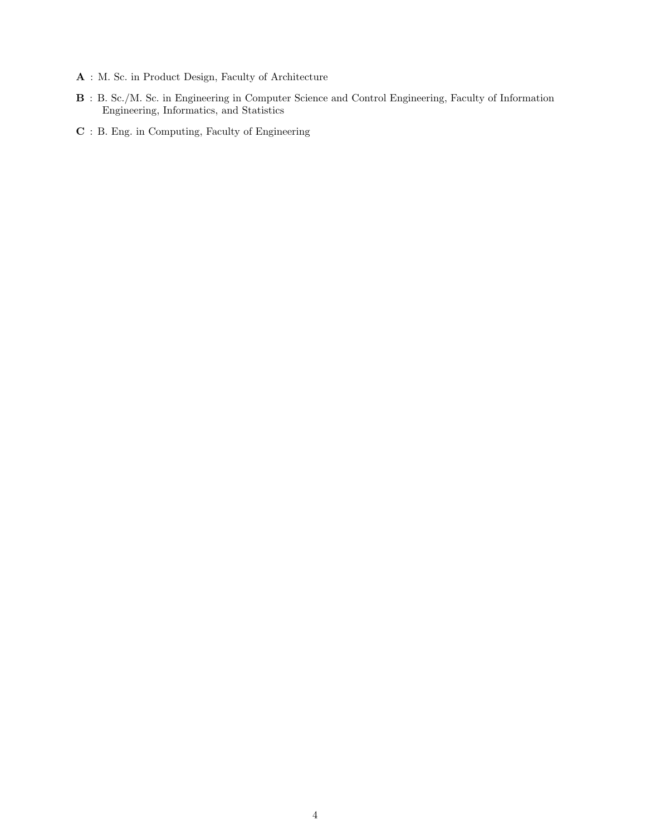- A : M. Sc. in Product Design, Faculty of Architecture
- B : B. Sc./M. Sc. in Engineering in Computer Science and Control Engineering, Faculty of Information Engineering, Informatics, and Statistics
- C : B. Eng. in Computing, Faculty of Engineering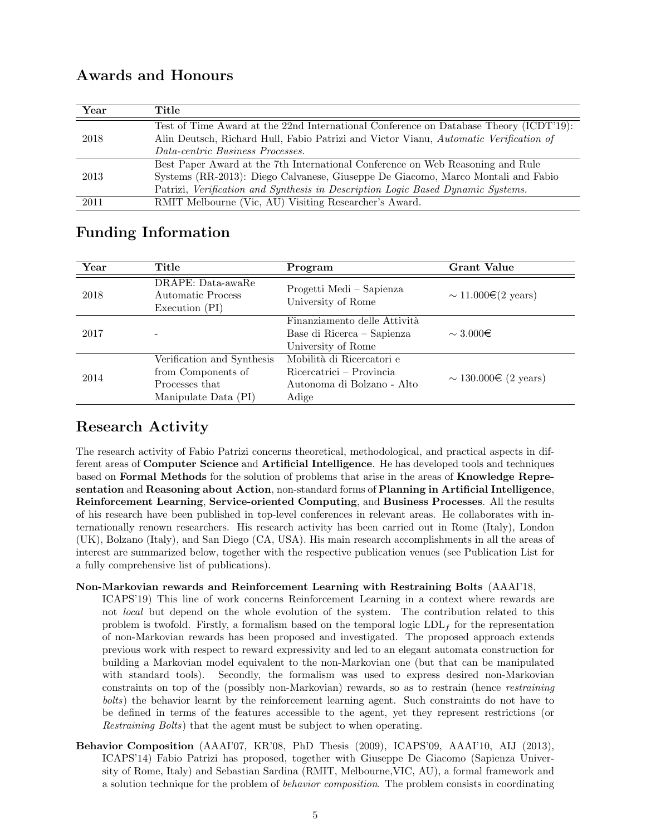## Awards and Honours

| Year                                                                                          | Title                                                                                 |
|-----------------------------------------------------------------------------------------------|---------------------------------------------------------------------------------------|
|                                                                                               | Test of Time Award at the 22nd International Conference on Database Theory (ICDT'19): |
| Alin Deutsch, Richard Hull, Fabio Patrizi and Victor Vianu, Automatic Verification of<br>2018 |                                                                                       |
|                                                                                               | Data-centric Business Processes.                                                      |
|                                                                                               | Best Paper Award at the 7th International Conference on Web Reasoning and Rule        |
| 2013                                                                                          | Systems (RR-2013): Diego Calvanese, Giuseppe De Giacomo, Marco Montali and Fabio      |
|                                                                                               | Patrizi, Verification and Synthesis in Description Logic Based Dynamic Systems.       |
| 2011                                                                                          | RMIT Melbourne (Vic, AU) Visiting Researcher's Award.                                 |

## Funding Information

| Year | Title                                                                                      | Program                                                                                      | Grant Value                          |
|------|--------------------------------------------------------------------------------------------|----------------------------------------------------------------------------------------------|--------------------------------------|
| 2018 | DRAPE: Data-awaRe<br>Automatic Process<br>Execution (PI)                                   | Progetti Medi – Sapienza<br>University of Rome                                               | $\sim 11.000 \in (2 \text{ years})$  |
| 2017 |                                                                                            | Finanziamento delle Attività<br>Base di Ricerca – Sapienza<br>University of Rome             | $\sim$ 3.000 $\in$                   |
| 2014 | Verification and Synthesis<br>from Components of<br>Processes that<br>Manipulate Data (PI) | Mobilità di Ricercatori e<br>Ricercatrici – Provincia<br>Autonoma di Bolzano - Alto<br>Adige | $\sim 130.000 \in (2 \text{ years})$ |

## Research Activity

The research activity of Fabio Patrizi concerns theoretical, methodological, and practical aspects in different areas of Computer Science and Artificial Intelligence. He has developed tools and techniques based on Formal Methods for the solution of problems that arise in the areas of Knowledge Representation and Reasoning about Action, non-standard forms of Planning in Artificial Intelligence, Reinforcement Learning, Service-oriented Computing, and Business Processes. All the results of his research have been published in top-level conferences in relevant areas. He collaborates with internationally renown researchers. His research activity has been carried out in Rome (Italy), London (UK), Bolzano (Italy), and San Diego (CA, USA). His main research accomplishments in all the areas of interest are summarized below, together with the respective publication venues (see Publication List for a fully comprehensive list of publications).

### Non-Markovian rewards and Reinforcement Learning with Restraining Bolts (AAAI'18,

- ICAPS'19) This line of work concerns Reinforcement Learning in a context where rewards are not local but depend on the whole evolution of the system. The contribution related to this problem is twofold. Firstly, a formalism based on the temporal logic  $LDL_f$  for the representation of non-Markovian rewards has been proposed and investigated. The proposed approach extends previous work with respect to reward expressivity and led to an elegant automata construction for building a Markovian model equivalent to the non-Markovian one (but that can be manipulated with standard tools). Secondly, the formalism was used to express desired non-Markovian constraints on top of the (possibly non-Markovian) rewards, so as to restrain (hence restraining bolts) the behavior learnt by the reinforcement learning agent. Such constraints do not have to be defined in terms of the features accessible to the agent, yet they represent restrictions (or Restraining Bolts) that the agent must be subject to when operating.
- Behavior Composition (AAAI'07, KR'08, PhD Thesis (2009), ICAPS'09, AAAI'10, AIJ (2013), ICAPS'14) Fabio Patrizi has proposed, together with Giuseppe De Giacomo (Sapienza University of Rome, Italy) and Sebastian Sardina (RMIT, Melbourne,VIC, AU), a formal framework and a solution technique for the problem of behavior composition. The problem consists in coordinating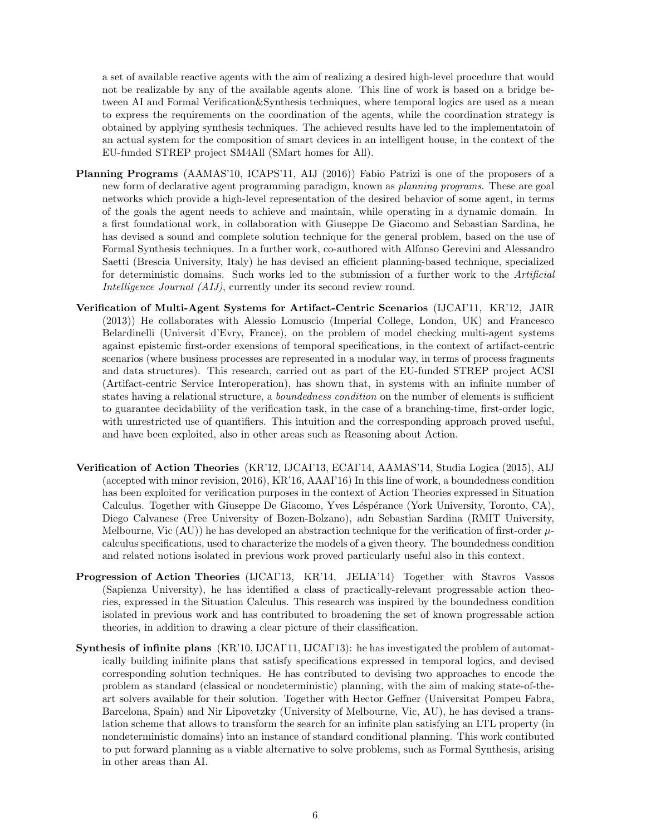a set of available reactive agents with the aim of realizing a desired high-level procedure that would not be realizable by any of the available agents alone. This line of work is based on a bridge between AI and Formal Verification&Synthesis techniques, where temporal logics are used as a mean to express the requirements on the coordination of the agents, while the coordination strategy is obtained by applying synthesis techniques. The achieved results have led to the implementatoin of an actual system for the composition of smart devices in an intelligent house, in the context of the EU-funded STREP project SM4All (SMart homes for All).

- Planning Programs (AAMAS'10, ICAPS'11, AIJ (2016)) Fabio Patrizi is one of the proposers of a new form of declarative agent programming paradigm, known as *planning programs*. These are goal networks which provide a high-level representation of the desired behavior of some agent, in terms of the goals the agent needs to achieve and maintain, while operating in a dynamic domain. In a first foundational work, in collaboration with Giuseppe De Giacomo and Sebastian Sardina, he has devised a sound and complete solution technique for the general problem, based on the use of Formal Synthesis techniques. In a further work, co-authored with Alfonso Gerevini and Alessandro Saetti (Brescia University, Italy) he has devised an efficient planning-based technique, specialized for deterministic domains. Such works led to the submission of a further work to the Artificial Intelligence Journal (AIJ), currently under its second review round.
- Verification of Multi-Agent Systems for Artifact-Centric Scenarios (IJCAI'11, KR'12, JAIR (2013)) He collaborates with Alessio Lomuscio (Imperial College, London, UK) and Francesco Belardinelli (Universit d'Evry, France), on the problem of model checking multi-agent systems against epistemic first-order exensions of temporal specifications, in the context of artifact-centric scenarios (where business processes are represented in a modular way, in terms of process fragments and data structures). This research, carried out as part of the EU-funded STREP project ACSI (Artifact-centric Service Interoperation), has shown that, in systems with an infinite number of states having a relational structure, a *boundedness condition* on the number of elements is sufficient to guarantee decidability of the verification task, in the case of a branching-time, first-order logic, with unrestricted use of quantifiers. This intuition and the corresponding approach proved useful, and have been exploited, also in other areas such as Reasoning about Action.
- Verification of Action Theories (KR'12, IJCAI'13, ECAI'14, AAMAS'14, Studia Logica (2015), AIJ (accepted with minor revision, 2016), KR'16, AAAI'16) In this line of work, a boundedness condition has been exploited for verification purposes in the context of Action Theories expressed in Situation Calculus. Together with Giuseppe De Giacomo, Yves Léspérance (York University, Toronto, CA), Diego Calvanese (Free University of Bozen-Bolzano), adn Sebastian Sardina (RMIT University, Melbourne, Vic  $(AU)$  he has developed an abstraction technique for the verification of first-order  $\mu$ calculus specifications, used to characterize the models of a given theory. The boundedness condition and related notions isolated in previous work proved particularly useful also in this context.
- Progression of Action Theories (IJCAI'13, KR'14, JELIA'14) Together with Stavros Vassos (Sapienza University), he has identified a class of practically-relevant progressable action theories, expressed in the Situation Calculus. This research was inspired by the boundedness condition isolated in previous work and has contributed to broadening the set of known progressable action theories, in addition to drawing a clear picture of their classification.
- Synthesis of infinite plans (KR'10, IJCAI'11, IJCAI'13): he has investigated the problem of automatically building inifinite plans that satisfy specifications expressed in temporal logics, and devised corresponding solution techniques. He has contributed to devising two approaches to encode the problem as standard (classical or nondeterministic) planning, with the aim of making state-of-theart solvers available for their solution. Together with Hector Geffner (Universitat Pompeu Fabra, Barcelona, Spain) and Nir Lipovetzky (University of Melbourne, Vic, AU), he has devised a translation scheme that allows to transform the search for an infinite plan satisfying an LTL property (in nondeterministic domains) into an instance of standard conditional planning. This work contibuted to put forward planning as a viable alternative to solve problems, such as Formal Synthesis, arising in other areas than AI.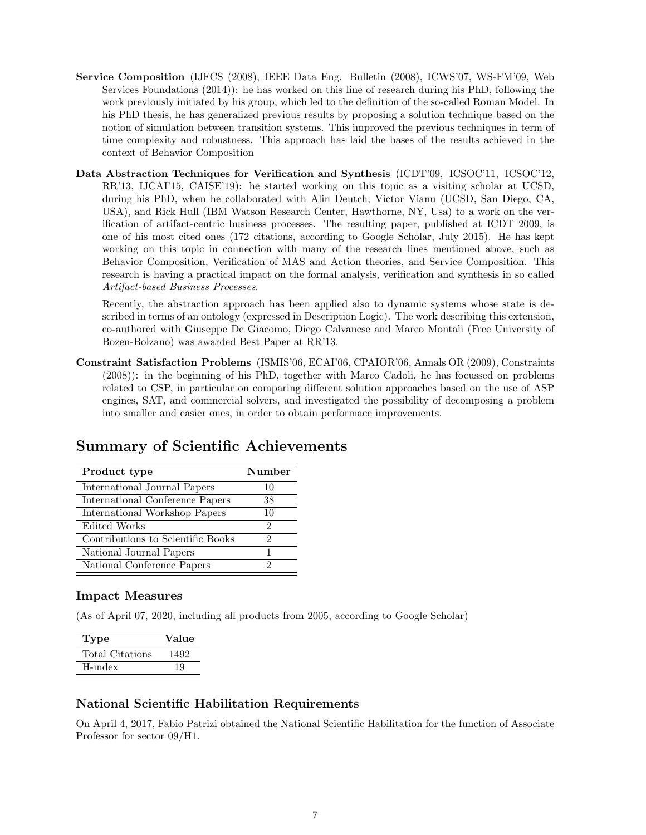- Service Composition (IJFCS (2008), IEEE Data Eng. Bulletin (2008), ICWS'07, WS-FM'09, Web Services Foundations (2014)): he has worked on this line of research during his PhD, following the work previously initiated by his group, which led to the definition of the so-called Roman Model. In his PhD thesis, he has generalized previous results by proposing a solution technique based on the notion of simulation between transition systems. This improved the previous techniques in term of time complexity and robustness. This approach has laid the bases of the results achieved in the context of Behavior Composition
- Data Abstraction Techniques for Verification and Synthesis (ICDT'09, ICSOC'11, ICSOC'12, RR'13, IJCAI'15, CAISE'19): he started working on this topic as a visiting scholar at UCSD, during his PhD, when he collaborated with Alin Deutch, Victor Vianu (UCSD, San Diego, CA, USA), and Rick Hull (IBM Watson Research Center, Hawthorne, NY, Usa) to a work on the verification of artifact-centric business processes. The resulting paper, published at ICDT 2009, is one of his most cited ones (172 citations, according to Google Scholar, July 2015). He has kept working on this topic in connection with many of the research lines mentioned above, such as Behavior Composition, Verification of MAS and Action theories, and Service Composition. This research is having a practical impact on the formal analysis, verification and synthesis in so called Artifact-based Business Processes.

Recently, the abstraction approach has been applied also to dynamic systems whose state is described in terms of an ontology (expressed in Description Logic). The work describing this extension, co-authored with Giuseppe De Giacomo, Diego Calvanese and Marco Montali (Free University of Bozen-Bolzano) was awarded Best Paper at RR'13.

Constraint Satisfaction Problems (ISMIS'06, ECAI'06, CPAIOR'06, Annals OR (2009), Constraints (2008)): in the beginning of his PhD, together with Marco Cadoli, he has focussed on problems related to CSP, in particular on comparing different solution approaches based on the use of ASP engines, SAT, and commercial solvers, and investigated the possibility of decomposing a problem into smaller and easier ones, in order to obtain performace improvements.

## Summary of Scientific Achievements

| Product type                      | Number |
|-----------------------------------|--------|
| International Journal Papers      | 10     |
| International Conference Papers   | 38     |
| International Workshop Papers     | 10     |
| Edited Works                      | 2      |
| Contributions to Scientific Books | 2      |
| National Journal Papers           |        |
| National Conference Papers        |        |

### Impact Measures

(As of April 07, 2020, including all products from 2005, according to Google Scholar)

| 'Type           | Value |
|-----------------|-------|
| Total Citations | 1492  |
| H-index         |       |

### National Scientific Habilitation Requirements

On April 4, 2017, Fabio Patrizi obtained the National Scientific Habilitation for the function of Associate Professor for sector 09/H1.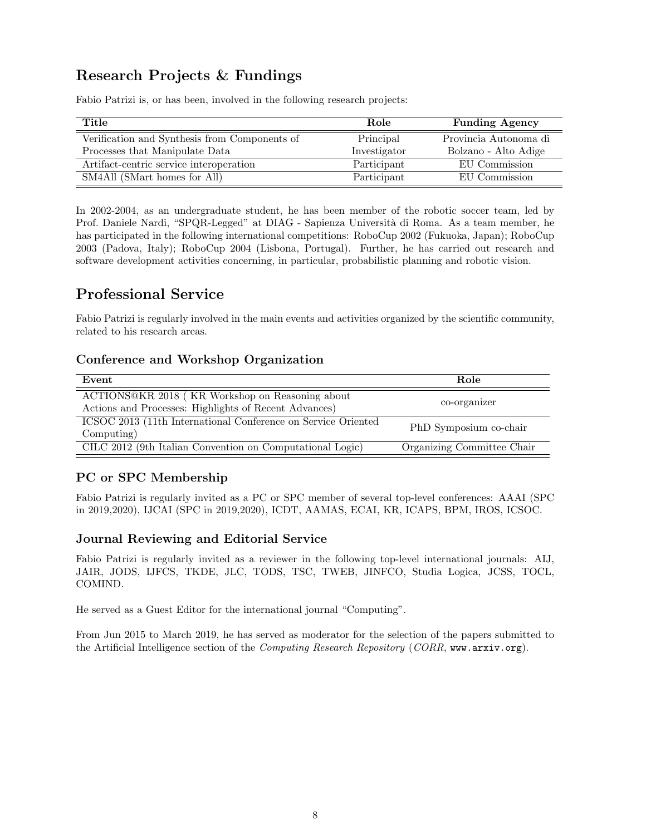## Research Projects & Fundings

Fabio Patrizi is, or has been, involved in the following research projects:

| Title                                         | Role         | <b>Funding Agency</b> |
|-----------------------------------------------|--------------|-----------------------|
| Verification and Synthesis from Components of | Principal    | Provincia Autonoma di |
| Processes that Manipulate Data                | Investigator | Bolzano - Alto Adige  |
| Artifact-centric service interoperation       | Participant  | EU Commission         |
| SM4All (SMart homes for All)                  | Participant  | EU Commission         |

In 2002-2004, as an undergraduate student, he has been member of the robotic soccer team, led by Prof. Daniele Nardi, "SPQR-Legged" at DIAG - Sapienza Università di Roma. As a team member, he has participated in the following international competitions: RoboCup 2002 (Fukuoka, Japan); RoboCup 2003 (Padova, Italy); RoboCup 2004 (Lisbona, Portugal). Further, he has carried out research and software development activities concerning, in particular, probabilistic planning and robotic vision.

## Professional Service

Fabio Patrizi is regularly involved in the main events and activities organized by the scientific community, related to his research areas.

## Conference and Workshop Organization

| Event                                                                                                    | Role                       |
|----------------------------------------------------------------------------------------------------------|----------------------------|
| ACTIONS@KR 2018 (KR Workshop on Reasoning about<br>Actions and Processes: Highlights of Recent Advances) | co-organizer               |
| ICSOC 2013 (11th International Conference on Service Oriented<br>Computing)                              | PhD Symposium co-chair     |
| CILC 2012 (9th Italian Convention on Computational Logic)                                                | Organizing Committee Chair |

## PC or SPC Membership

Fabio Patrizi is regularly invited as a PC or SPC member of several top-level conferences: AAAI (SPC in 2019,2020), IJCAI (SPC in 2019,2020), ICDT, AAMAS, ECAI, KR, ICAPS, BPM, IROS, ICSOC.

## Journal Reviewing and Editorial Service

Fabio Patrizi is regularly invited as a reviewer in the following top-level international journals: AIJ, JAIR, JODS, IJFCS, TKDE, JLC, TODS, TSC, TWEB, JINFCO, Studia Logica, JCSS, TOCL, COMIND.

He served as a Guest Editor for the international journal "Computing".

From Jun 2015 to March 2019, he has served as moderator for the selection of the papers submitted to the Artificial Intelligence section of the Computing Research Repository (CORR, www.arxiv.org).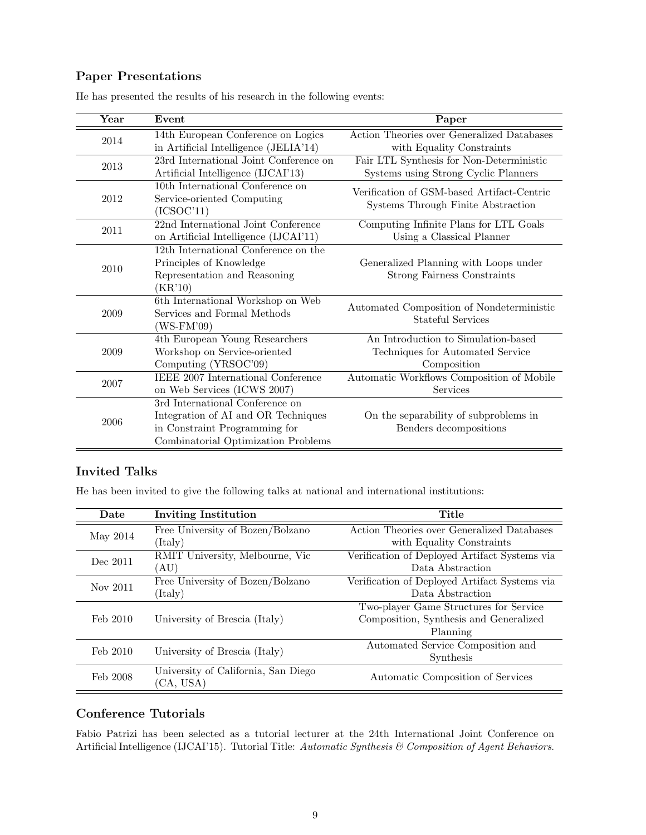## Paper Presentations

| Year | Event                                                          | Paper                                                                            |
|------|----------------------------------------------------------------|----------------------------------------------------------------------------------|
| 2014 | 14th European Conference on Logics                             | Action Theories over Generalized Databases                                       |
|      | in Artificial Intelligence (JELIA'14)                          | with Equality Constraints                                                        |
| 2013 | 23rd International Joint Conference on                         | Fair LTL Synthesis for Non-Deterministic                                         |
|      | Artificial Intelligence (IJCAI'13)                             | Systems using Strong Cyclic Planners                                             |
| 2012 | 10th International Conference on<br>Service-oriented Computing | Verification of GSM-based Artifact-Centric<br>Systems Through Finite Abstraction |
|      | (ICSOC11)                                                      |                                                                                  |
| 2011 | 22nd International Joint Conference                            | Computing Infinite Plans for LTL Goals                                           |
|      | on Artificial Intelligence (IJCAI'11)                          | Using a Classical Planner                                                        |
|      | 12th International Conference on the                           |                                                                                  |
| 2010 | Principles of Knowledge                                        | Generalized Planning with Loops under                                            |
|      | Representation and Reasoning                                   | <b>Strong Fairness Constraints</b>                                               |
|      | (KR'10)                                                        |                                                                                  |
|      | 6th International Workshop on Web                              | Automated Composition of Nondeterministic                                        |
| 2009 | Services and Formal Methods                                    | Stateful Services                                                                |
|      | (WS-FM'09)                                                     |                                                                                  |
|      | 4th European Young Researchers                                 | An Introduction to Simulation-based                                              |
| 2009 | Workshop on Service-oriented                                   | Techniques for Automated Service                                                 |
|      | Computing (YRSOC'09)                                           | Composition                                                                      |
| 2007 | IEEE 2007 International Conference                             | Automatic Workflows Composition of Mobile                                        |
|      | on Web Services (ICWS 2007)                                    | Services                                                                         |
| 2006 | 3rd International Conference on                                |                                                                                  |
|      | Integration of AI and OR Techniques                            | On the separability of subproblems in                                            |
|      | in Constraint Programming for                                  | Benders decompositions                                                           |
|      | Combinatorial Optimization Problems                            |                                                                                  |

He has presented the results of his research in the following events:

### Invited Talks

He has been invited to give the following talks at national and international institutions:

| Date     | <b>Inviting Institution</b>         | Title                                         |
|----------|-------------------------------------|-----------------------------------------------|
| May 2014 | Free University of Bozen/Bolzano    | Action Theories over Generalized Databases    |
|          | (Italy)                             | with Equality Constraints                     |
| Dec 2011 | RMIT University, Melbourne, Vic     | Verification of Deployed Artifact Systems via |
|          | `AU)                                | Data Abstraction                              |
| Nov 2011 | Free University of Bozen/Bolzano    | Verification of Deployed Artifact Systems via |
|          | (Italy)                             | Data Abstraction                              |
| Feb 2010 | University of Brescia (Italy)       | Two-player Game Structures for Service        |
|          |                                     | Composition, Synthesis and Generalized        |
|          |                                     | Planning                                      |
| Feb 2010 | University of Brescia (Italy)       | Automated Service Composition and             |
|          |                                     | Synthesis                                     |
| Feb 2008 | University of California, San Diego | Automatic Composition of Services             |
|          | (CA, USA)                           |                                               |

### Conference Tutorials

Fabio Patrizi has been selected as a tutorial lecturer at the 24th International Joint Conference on Artificial Intelligence (IJCAI'15). Tutorial Title: Automatic Synthesis & Composition of Agent Behaviors.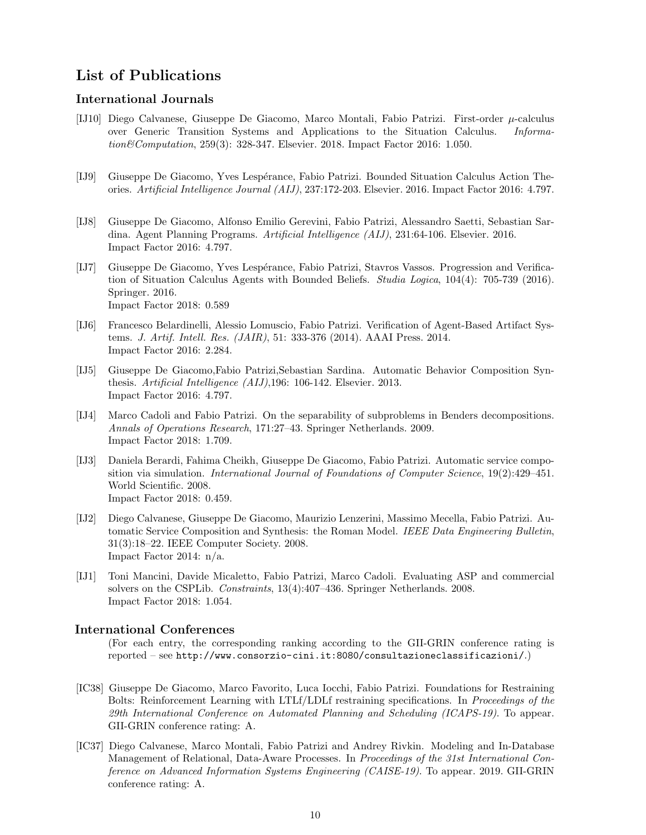## List of Publications

#### International Journals

- [IJ10] Diego Calvanese, Giuseppe De Giacomo, Marco Montali, Fabio Patrizi. First-order µ-calculus over Generic Transition Systems and Applications to the Situation Calculus. Information&Computation, 259(3): 328-347. Elsevier. 2018. Impact Factor 2016: 1.050.
- [IJ9] Giuseppe De Giacomo, Yves Lesp´erance, Fabio Patrizi. Bounded Situation Calculus Action Theories. Artificial Intelligence Journal (AIJ), 237:172-203. Elsevier. 2016. Impact Factor 2016: 4.797.
- [IJ8] Giuseppe De Giacomo, Alfonso Emilio Gerevini, Fabio Patrizi, Alessandro Saetti, Sebastian Sardina. Agent Planning Programs. Artificial Intelligence (AIJ), 231:64-106. Elsevier. 2016. Impact Factor 2016: 4.797.
- [IJ7] Giuseppe De Giacomo, Yves Lespérance, Fabio Patrizi, Stavros Vassos. Progression and Verification of Situation Calculus Agents with Bounded Beliefs. Studia Logica, 104(4): 705-739 (2016). Springer. 2016. Impact Factor 2018: 0.589
- [IJ6] Francesco Belardinelli, Alessio Lomuscio, Fabio Patrizi. Verification of Agent-Based Artifact Systems. J. Artif. Intell. Res. (JAIR), 51: 333-376 (2014). AAAI Press. 2014. Impact Factor 2016: 2.284.
- [IJ5] Giuseppe De Giacomo,Fabio Patrizi,Sebastian Sardina. Automatic Behavior Composition Synthesis. Artificial Intelligence (AIJ),196: 106-142. Elsevier. 2013. Impact Factor 2016: 4.797.
- [IJ4] Marco Cadoli and Fabio Patrizi. On the separability of subproblems in Benders decompositions. Annals of Operations Research, 171:27–43. Springer Netherlands. 2009. Impact Factor 2018: 1.709.
- [IJ3] Daniela Berardi, Fahima Cheikh, Giuseppe De Giacomo, Fabio Patrizi. Automatic service composition via simulation. *International Journal of Foundations of Computer Science*, 19(2):429–451. World Scientific. 2008. Impact Factor 2018: 0.459.
- [IJ2] Diego Calvanese, Giuseppe De Giacomo, Maurizio Lenzerini, Massimo Mecella, Fabio Patrizi. Automatic Service Composition and Synthesis: the Roman Model. IEEE Data Engineering Bulletin, 31(3):18–22. IEEE Computer Society. 2008. Impact Factor 2014: n/a.
- [IJ1] Toni Mancini, Davide Micaletto, Fabio Patrizi, Marco Cadoli. Evaluating ASP and commercial solvers on the CSPLib. Constraints, 13(4):407–436. Springer Netherlands. 2008. Impact Factor 2018: 1.054.

#### International Conferences

(For each entry, the corresponding ranking according to the GII-GRIN conference rating is reported – see http://www.consorzio-cini.it:8080/consultazioneclassificazioni/.)

- [IC38] Giuseppe De Giacomo, Marco Favorito, Luca Iocchi, Fabio Patrizi. Foundations for Restraining Bolts: Reinforcement Learning with LTLf/LDLf restraining specifications. In Proceedings of the 29th International Conference on Automated Planning and Scheduling (ICAPS-19). To appear. GII-GRIN conference rating: A.
- [IC37] Diego Calvanese, Marco Montali, Fabio Patrizi and Andrey Rivkin. Modeling and In-Database Management of Relational, Data-Aware Processes. In Proceedings of the 31st International Conference on Advanced Information Systems Engineering (CAISE-19). To appear. 2019. GII-GRIN conference rating: A.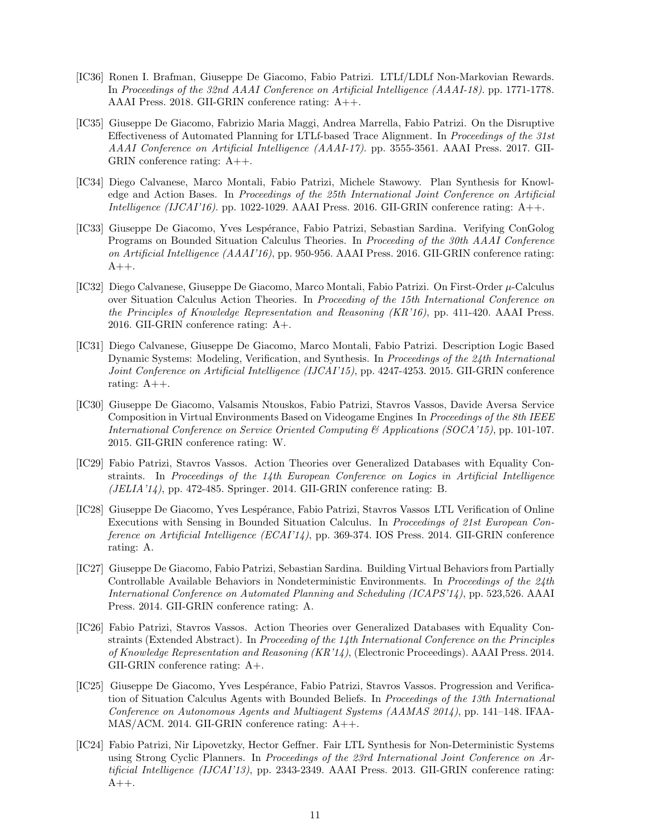- [IC36] Ronen I. Brafman, Giuseppe De Giacomo, Fabio Patrizi. LTLf/LDLf Non-Markovian Rewards. In Proceedings of the 32nd AAAI Conference on Artificial Intelligence (AAAI-18). pp. 1771-1778. AAAI Press. 2018. GII-GRIN conference rating: A++.
- [IC35] Giuseppe De Giacomo, Fabrizio Maria Maggi, Andrea Marrella, Fabio Patrizi. On the Disruptive Effectiveness of Automated Planning for LTLf-based Trace Alignment. In Proceedings of the 31st AAAI Conference on Artificial Intelligence (AAAI-17). pp. 3555-3561. AAAI Press. 2017. GII-GRIN conference rating: A++.
- [IC34] Diego Calvanese, Marco Montali, Fabio Patrizi, Michele Stawowy. Plan Synthesis for Knowledge and Action Bases. In Proceedings of the 25th International Joint Conference on Artificial Intelligence (IJCAI'16). pp. 1022-1029. AAAI Press. 2016. GII-GRIN conference rating:  $A++$ .
- [IC33] Giuseppe De Giacomo, Yves Lesp´erance, Fabio Patrizi, Sebastian Sardina. Verifying ConGolog Programs on Bounded Situation Calculus Theories. In Proceeding of the 30th AAAI Conference on Artificial Intelligence (AAAI'16), pp. 950-956. AAAI Press. 2016. GII-GRIN conference rating:  $A++$ .
- [IC32] Diego Calvanese, Giuseppe De Giacomo, Marco Montali, Fabio Patrizi. On First-Order µ-Calculus over Situation Calculus Action Theories. In Proceeding of the 15th International Conference on the Principles of Knowledge Representation and Reasoning (KR'16), pp. 411-420. AAAI Press. 2016. GII-GRIN conference rating: A+.
- [IC31] Diego Calvanese, Giuseppe De Giacomo, Marco Montali, Fabio Patrizi. Description Logic Based Dynamic Systems: Modeling, Verification, and Synthesis. In Proceedings of the 24th International Joint Conference on Artificial Intelligence (IJCAI'15), pp. 4247-4253. 2015. GII-GRIN conference rating: A++.
- [IC30] Giuseppe De Giacomo, Valsamis Ntouskos, Fabio Patrizi, Stavros Vassos, Davide Aversa Service Composition in Virtual Environments Based on Videogame Engines In Proceedings of the 8th IEEE International Conference on Service Oriented Computing & Applications (SOCA'15), pp. 101-107. 2015. GII-GRIN conference rating: W.
- [IC29] Fabio Patrizi, Stavros Vassos. Action Theories over Generalized Databases with Equality Constraints. In Proceedings of the 14th European Conference on Logics in Artificial Intelligence  $(JELIA'14)$ , pp. 472-485. Springer. 2014. GII-GRIN conference rating: B.
- [IC28] Giuseppe De Giacomo, Yves Lespérance, Fabio Patrizi, Stavros Vassos LTL Verification of Online Executions with Sensing in Bounded Situation Calculus. In Proceedings of 21st European Conference on Artificial Intelligence (ECAI'14), pp. 369-374. IOS Press. 2014. GII-GRIN conference rating: A.
- [IC27] Giuseppe De Giacomo, Fabio Patrizi, Sebastian Sardina. Building Virtual Behaviors from Partially Controllable Available Behaviors in Nondeterministic Environments. In Proceedings of the 24th International Conference on Automated Planning and Scheduling (ICAPS'14), pp. 523,526. AAAI Press. 2014. GII-GRIN conference rating: A.
- [IC26] Fabio Patrizi, Stavros Vassos. Action Theories over Generalized Databases with Equality Constraints (Extended Abstract). In Proceeding of the 14th International Conference on the Principles of Knowledge Representation and Reasoning (KR'14), (Electronic Proceedings). AAAI Press. 2014. GII-GRIN conference rating: A+.
- [IC25] Giuseppe De Giacomo, Yves Lesp´erance, Fabio Patrizi, Stavros Vassos. Progression and Verification of Situation Calculus Agents with Bounded Beliefs. In Proceedings of the 13th International Conference on Autonomous Agents and Multiagent Systems (AAMAS 2014), pp. 141–148. IFAA-MAS/ACM. 2014. GII-GRIN conference rating: A++.
- [IC24] Fabio Patrizi, Nir Lipovetzky, Hector Geffner. Fair LTL Synthesis for Non-Deterministic Systems using Strong Cyclic Planners. In Proceedings of the 23rd International Joint Conference on Artificial Intelligence (IJCAI'13), pp. 2343-2349. AAAI Press. 2013. GII-GRIN conference rating:  $A++.$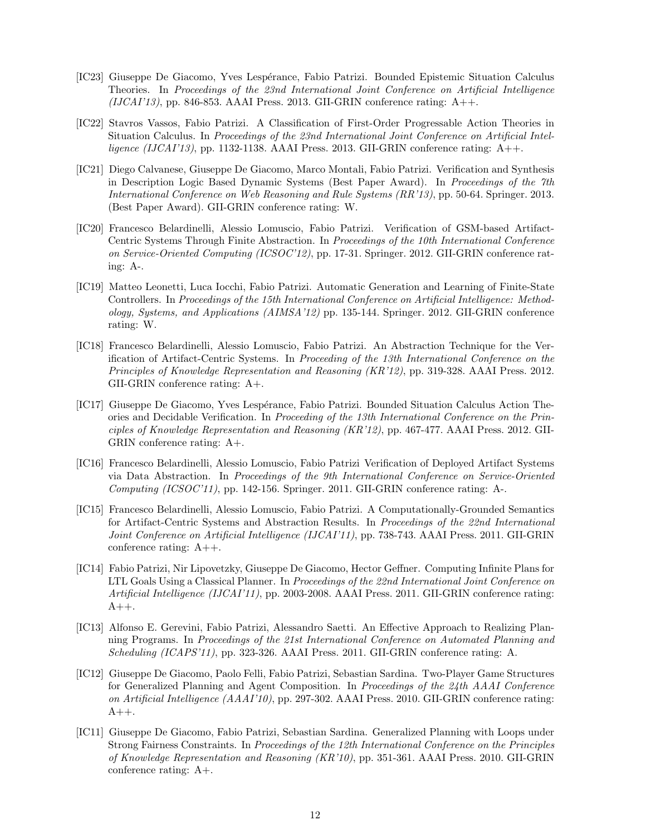- [IC23] Giuseppe De Giacomo, Yves Lesp´erance, Fabio Patrizi. Bounded Epistemic Situation Calculus Theories. In Proceedings of the 23nd International Joint Conference on Artificial Intelligence  $(IJCAI'13)$ , pp. 846-853. AAAI Press. 2013. GII-GRIN conference rating: A++.
- [IC22] Stavros Vassos, Fabio Patrizi. A Classification of First-Order Progressable Action Theories in Situation Calculus. In Proceedings of the 23nd International Joint Conference on Artificial Intelligence (IJCAI'13), pp. 1132-1138. AAAI Press. 2013. GII-GRIN conference rating:  $A++$ .
- [IC21] Diego Calvanese, Giuseppe De Giacomo, Marco Montali, Fabio Patrizi. Verification and Synthesis in Description Logic Based Dynamic Systems (Best Paper Award). In Proceedings of the 7th International Conference on Web Reasoning and Rule Systems (RR'13), pp. 50-64. Springer. 2013. (Best Paper Award). GII-GRIN conference rating: W.
- [IC20] Francesco Belardinelli, Alessio Lomuscio, Fabio Patrizi. Verification of GSM-based Artifact-Centric Systems Through Finite Abstraction. In Proceedings of the 10th International Conference on Service-Oriented Computing (ICSOC'12), pp. 17-31. Springer. 2012. GII-GRIN conference rating: A-.
- [IC19] Matteo Leonetti, Luca Iocchi, Fabio Patrizi. Automatic Generation and Learning of Finite-State Controllers. In Proceedings of the 15th International Conference on Artificial Intelligence: Methodology, Systems, and Applications (AIMSA'12) pp. 135-144. Springer. 2012. GII-GRIN conference rating: W.
- [IC18] Francesco Belardinelli, Alessio Lomuscio, Fabio Patrizi. An Abstraction Technique for the Verification of Artifact-Centric Systems. In Proceeding of the 13th International Conference on the Principles of Knowledge Representation and Reasoning (KR'12), pp. 319-328. AAAI Press. 2012. GII-GRIN conference rating: A+.
- [IC17] Giuseppe De Giacomo, Yves Lespérance, Fabio Patrizi. Bounded Situation Calculus Action Theories and Decidable Verification. In Proceeding of the 13th International Conference on the Principles of Knowledge Representation and Reasoning (KR'12), pp. 467-477. AAAI Press. 2012. GII-GRIN conference rating: A+.
- [IC16] Francesco Belardinelli, Alessio Lomuscio, Fabio Patrizi Verification of Deployed Artifact Systems via Data Abstraction. In Proceedings of the 9th International Conference on Service-Oriented Computing  $(ICSOC'11)$ , pp. 142-156. Springer. 2011. GII-GRIN conference rating: A-.
- [IC15] Francesco Belardinelli, Alessio Lomuscio, Fabio Patrizi. A Computationally-Grounded Semantics for Artifact-Centric Systems and Abstraction Results. In Proceedings of the 22nd International Joint Conference on Artificial Intelligence (IJCAI'11), pp. 738-743. AAAI Press. 2011. GII-GRIN conference rating: A++.
- [IC14] Fabio Patrizi, Nir Lipovetzky, Giuseppe De Giacomo, Hector Geffner. Computing Infinite Plans for LTL Goals Using a Classical Planner. In Proceedings of the 22nd International Joint Conference on Artificial Intelligence (IJCAI'11), pp. 2003-2008. AAAI Press. 2011. GII-GRIN conference rating:  $A++$ .
- [IC13] Alfonso E. Gerevini, Fabio Patrizi, Alessandro Saetti. An Effective Approach to Realizing Planning Programs. In Proceedings of the 21st International Conference on Automated Planning and Scheduling (ICAPS'11), pp. 323-326. AAAI Press. 2011. GII-GRIN conference rating: A.
- [IC12] Giuseppe De Giacomo, Paolo Felli, Fabio Patrizi, Sebastian Sardina. Two-Player Game Structures for Generalized Planning and Agent Composition. In Proceedings of the 24th AAAI Conference on Artificial Intelligence (AAAI'10), pp. 297-302. AAAI Press. 2010. GII-GRIN conference rating:  $A++$ .
- [IC11] Giuseppe De Giacomo, Fabio Patrizi, Sebastian Sardina. Generalized Planning with Loops under Strong Fairness Constraints. In Proceedings of the 12th International Conference on the Principles of Knowledge Representation and Reasoning (KR'10), pp. 351-361. AAAI Press. 2010. GII-GRIN conference rating: A+.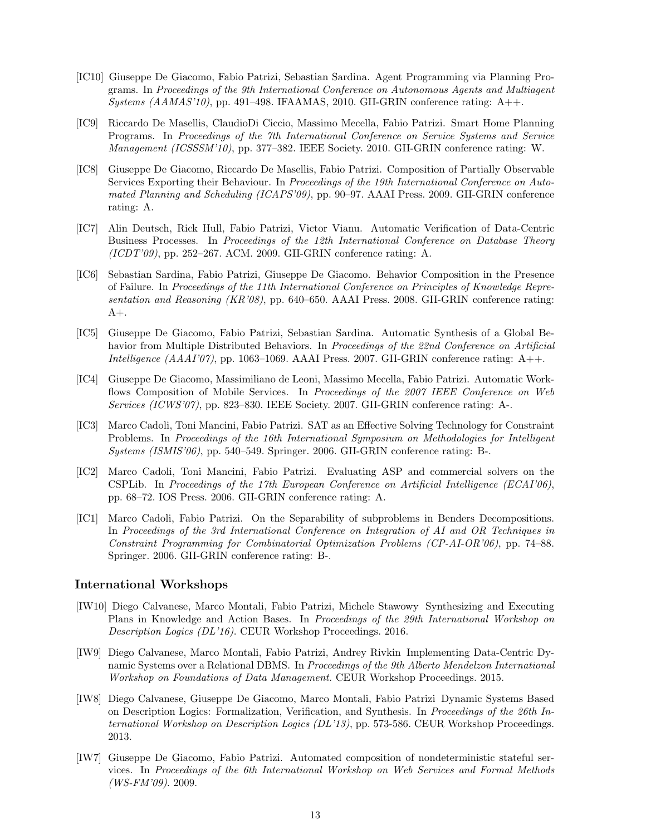- [IC10] Giuseppe De Giacomo, Fabio Patrizi, Sebastian Sardina. Agent Programming via Planning Programs. In Proceedings of the 9th International Conference on Autonomous Agents and Multiagent Systems  $(AAMAS'10)$ , pp. 491–498. IFAAMAS, 2010. GII-GRIN conference rating: A++.
- [IC9] Riccardo De Masellis, ClaudioDi Ciccio, Massimo Mecella, Fabio Patrizi. Smart Home Planning Programs. In Proceedings of the 7th International Conference on Service Systems and Service Management (ICSSSM'10), pp. 377–382. IEEE Society. 2010. GII-GRIN conference rating: W.
- [IC8] Giuseppe De Giacomo, Riccardo De Masellis, Fabio Patrizi. Composition of Partially Observable Services Exporting their Behaviour. In Proceedings of the 19th International Conference on Automated Planning and Scheduling (ICAPS'09), pp. 90–97. AAAI Press. 2009. GII-GRIN conference rating: A.
- [IC7] Alin Deutsch, Rick Hull, Fabio Patrizi, Victor Vianu. Automatic Verification of Data-Centric Business Processes. In Proceedings of the 12th International Conference on Database Theory (ICDT'09), pp. 252–267. ACM. 2009. GII-GRIN conference rating: A.
- [IC6] Sebastian Sardina, Fabio Patrizi, Giuseppe De Giacomo. Behavior Composition in the Presence of Failure. In Proceedings of the 11th International Conference on Principles of Knowledge Representation and Reasoning (KR'08), pp. 640–650. AAAI Press. 2008. GII-GRIN conference rating:  $A+$ .
- [IC5] Giuseppe De Giacomo, Fabio Patrizi, Sebastian Sardina. Automatic Synthesis of a Global Behavior from Multiple Distributed Behaviors. In Proceedings of the 22nd Conference on Artificial Intelligence  $(AAAI'07)$ , pp. 1063–1069. AAAI Press. 2007. GII-GRIN conference rating:  $A++$ .
- [IC4] Giuseppe De Giacomo, Massimiliano de Leoni, Massimo Mecella, Fabio Patrizi. Automatic Workflows Composition of Mobile Services. In Proceedings of the 2007 IEEE Conference on Web Services (ICWS'07), pp. 823–830. IEEE Society. 2007. GII-GRIN conference rating: A-.
- [IC3] Marco Cadoli, Toni Mancini, Fabio Patrizi. SAT as an Effective Solving Technology for Constraint Problems. In Proceedings of the 16th International Symposium on Methodologies for Intelligent Systems (ISMIS'06), pp. 540–549. Springer. 2006. GII-GRIN conference rating: B-.
- [IC2] Marco Cadoli, Toni Mancini, Fabio Patrizi. Evaluating ASP and commercial solvers on the CSPLib. In Proceedings of the 17th European Conference on Artificial Intelligence (ECAI'06), pp. 68–72. IOS Press. 2006. GII-GRIN conference rating: A.
- [IC1] Marco Cadoli, Fabio Patrizi. On the Separability of subproblems in Benders Decompositions. In Proceedings of the 3rd International Conference on Integration of AI and OR Techniques in Constraint Programming for Combinatorial Optimization Problems (CP-AI-OR'06), pp. 74–88. Springer. 2006. GII-GRIN conference rating: B-.

#### International Workshops

- [IW10] Diego Calvanese, Marco Montali, Fabio Patrizi, Michele Stawowy Synthesizing and Executing Plans in Knowledge and Action Bases. In Proceedings of the 29th International Workshop on Description Logics (DL'16). CEUR Workshop Proceedings. 2016.
- [IW9] Diego Calvanese, Marco Montali, Fabio Patrizi, Andrey Rivkin Implementing Data-Centric Dynamic Systems over a Relational DBMS. In Proceedings of the 9th Alberto Mendelzon International Workshop on Foundations of Data Management. CEUR Workshop Proceedings. 2015.
- [IW8] Diego Calvanese, Giuseppe De Giacomo, Marco Montali, Fabio Patrizi Dynamic Systems Based on Description Logics: Formalization, Verification, and Synthesis. In Proceedings of the 26th International Workshop on Description Logics (DL'13), pp. 573-586. CEUR Workshop Proceedings. 2013.
- [IW7] Giuseppe De Giacomo, Fabio Patrizi. Automated composition of nondeterministic stateful services. In Proceedings of the 6th International Workshop on Web Services and Formal Methods (WS-FM'09). 2009.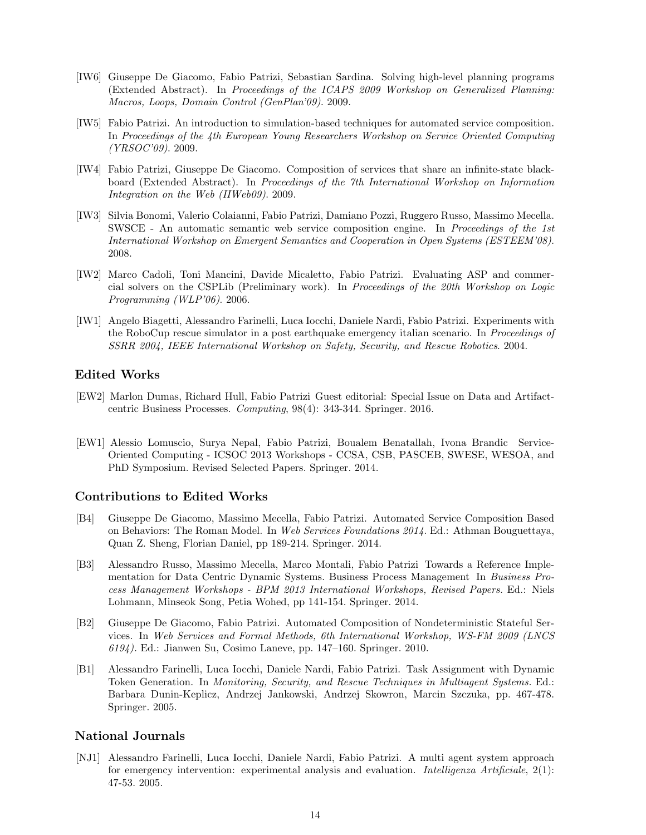- [IW6] Giuseppe De Giacomo, Fabio Patrizi, Sebastian Sardina. Solving high-level planning programs (Extended Abstract). In Proceedings of the ICAPS 2009 Workshop on Generalized Planning: Macros, Loops, Domain Control (GenPlan'09). 2009.
- [IW5] Fabio Patrizi. An introduction to simulation-based techniques for automated service composition. In Proceedings of the 4th European Young Researchers Workshop on Service Oriented Computing (YRSOC'09). 2009.
- [IW4] Fabio Patrizi, Giuseppe De Giacomo. Composition of services that share an infinite-state blackboard (Extended Abstract). In Proceedings of the 7th International Workshop on Information Integration on the Web (IIWeb09). 2009.
- [IW3] Silvia Bonomi, Valerio Colaianni, Fabio Patrizi, Damiano Pozzi, Ruggero Russo, Massimo Mecella. SWSCE - An automatic semantic web service composition engine. In Proceedings of the 1st International Workshop on Emergent Semantics and Cooperation in Open Systems (ESTEEM'08). 2008.
- [IW2] Marco Cadoli, Toni Mancini, Davide Micaletto, Fabio Patrizi. Evaluating ASP and commercial solvers on the CSPLib (Preliminary work). In Proceedings of the 20th Workshop on Logic Programming (WLP'06). 2006.
- [IW1] Angelo Biagetti, Alessandro Farinelli, Luca Iocchi, Daniele Nardi, Fabio Patrizi. Experiments with the RoboCup rescue simulator in a post earthquake emergency italian scenario. In Proceedings of SSRR 2004, IEEE International Workshop on Safety, Security, and Rescue Robotics. 2004.

#### Edited Works

- [EW2] Marlon Dumas, Richard Hull, Fabio Patrizi Guest editorial: Special Issue on Data and Artifactcentric Business Processes. Computing, 98(4): 343-344. Springer. 2016.
- [EW1] Alessio Lomuscio, Surya Nepal, Fabio Patrizi, Boualem Benatallah, Ivona Brandic Service-Oriented Computing - ICSOC 2013 Workshops - CCSA, CSB, PASCEB, SWESE, WESOA, and PhD Symposium. Revised Selected Papers. Springer. 2014.

#### Contributions to Edited Works

- [B4] Giuseppe De Giacomo, Massimo Mecella, Fabio Patrizi. Automated Service Composition Based on Behaviors: The Roman Model. In Web Services Foundations 2014. Ed.: Athman Bouguettaya, Quan Z. Sheng, Florian Daniel, pp 189-214. Springer. 2014.
- [B3] Alessandro Russo, Massimo Mecella, Marco Montali, Fabio Patrizi Towards a Reference Implementation for Data Centric Dynamic Systems. Business Process Management In Business Process Management Workshops - BPM 2013 International Workshops, Revised Papers. Ed.: Niels Lohmann, Minseok Song, Petia Wohed, pp 141-154. Springer. 2014.
- [B2] Giuseppe De Giacomo, Fabio Patrizi. Automated Composition of Nondeterministic Stateful Services. In Web Services and Formal Methods, 6th International Workshop, WS-FM 2009 (LNCS 6194). Ed.: Jianwen Su, Cosimo Laneve, pp. 147–160. Springer. 2010.
- [B1] Alessandro Farinelli, Luca Iocchi, Daniele Nardi, Fabio Patrizi. Task Assignment with Dynamic Token Generation. In Monitoring, Security, and Rescue Techniques in Multiagent Systems. Ed.: Barbara Dunin-Keplicz, Andrzej Jankowski, Andrzej Skowron, Marcin Szczuka, pp. 467-478. Springer. 2005.

#### National Journals

[NJ1] Alessandro Farinelli, Luca Iocchi, Daniele Nardi, Fabio Patrizi. A multi agent system approach for emergency intervention: experimental analysis and evaluation. Intelligenza Artificiale, 2(1): 47-53. 2005.